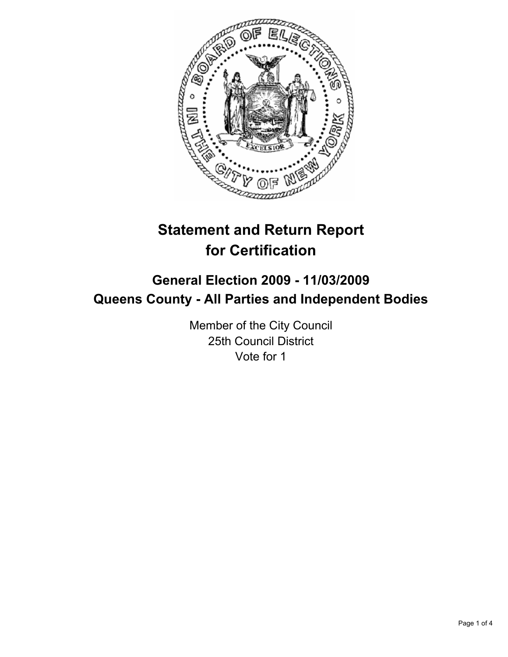

# **Statement and Return Report for Certification**

# **General Election 2009 - 11/03/2009 Queens County - All Parties and Independent Bodies**

Member of the City Council 25th Council District Vote for 1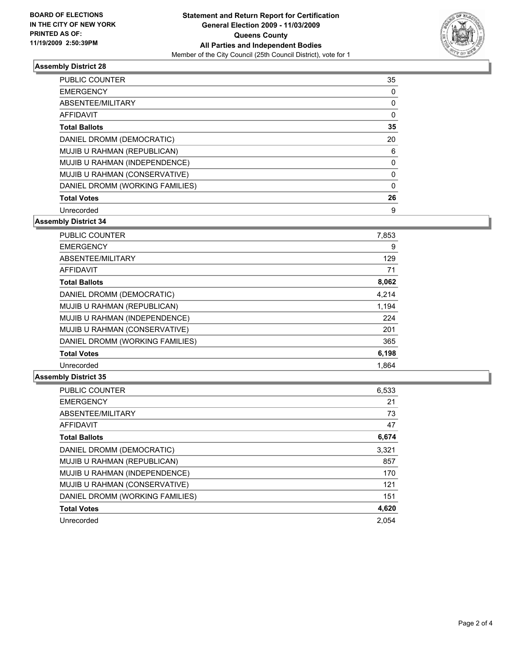

# **Assembly District 28**

| <b>PUBLIC COUNTER</b>           | 35 |
|---------------------------------|----|
| <b>EMERGENCY</b>                | 0  |
| ABSENTEE/MILITARY               | 0  |
| AFFIDAVIT                       | 0  |
| <b>Total Ballots</b>            | 35 |
| DANIEL DROMM (DEMOCRATIC)       | 20 |
| MUJIB U RAHMAN (REPUBLICAN)     | 6  |
| MUJIB U RAHMAN (INDEPENDENCE)   | 0  |
| MUJIB U RAHMAN (CONSERVATIVE)   | 0  |
| DANIEL DROMM (WORKING FAMILIES) | 0  |
| <b>Total Votes</b>              | 26 |
| Unrecorded                      | 9  |

**Assembly District 34**

| <b>PUBLIC COUNTER</b>           | 7,853 |
|---------------------------------|-------|
| <b>EMERGENCY</b>                | 9     |
| ABSENTEE/MILITARY               | 129   |
| <b>AFFIDAVIT</b>                | 71    |
| <b>Total Ballots</b>            | 8,062 |
| DANIEL DROMM (DEMOCRATIC)       | 4,214 |
| MUJIB U RAHMAN (REPUBLICAN)     | 1,194 |
| MUJIB U RAHMAN (INDEPENDENCE)   | 224   |
| MUJIB U RAHMAN (CONSERVATIVE)   | 201   |
| DANIEL DROMM (WORKING FAMILIES) | 365   |
| <b>Total Votes</b>              | 6,198 |
| Unrecorded                      | 1.864 |

### **Assembly District 35**

| <b>PUBLIC COUNTER</b>           | 6,533 |
|---------------------------------|-------|
| <b>EMERGENCY</b>                | 21    |
| ABSENTEE/MILITARY               | 73    |
| <b>AFFIDAVIT</b>                | 47    |
| <b>Total Ballots</b>            | 6,674 |
| DANIEL DROMM (DEMOCRATIC)       | 3,321 |
| MUJIB U RAHMAN (REPUBLICAN)     | 857   |
| MUJIB U RAHMAN (INDEPENDENCE)   | 170   |
| MUJIB U RAHMAN (CONSERVATIVE)   | 121   |
| DANIEL DROMM (WORKING FAMILIES) | 151   |
| <b>Total Votes</b>              | 4,620 |
| Unrecorded                      | 2.054 |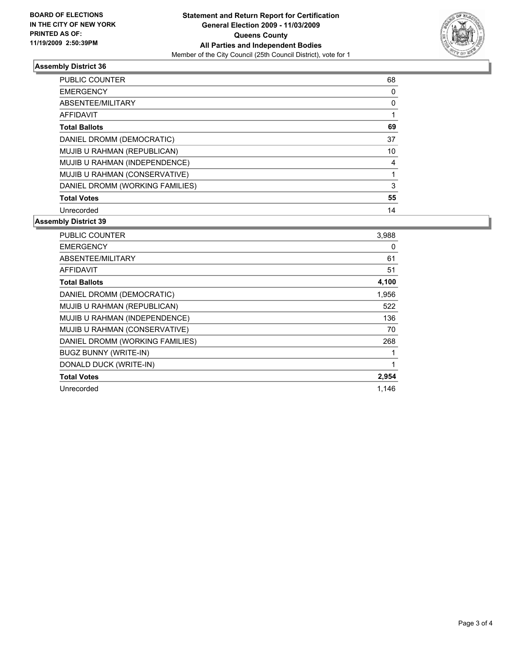

# **Assembly District 36**

| PUBLIC COUNTER                  | 68 |
|---------------------------------|----|
| <b>EMERGENCY</b>                | 0  |
| ABSENTEE/MILITARY               | 0  |
| AFFIDAVIT                       | 1  |
| <b>Total Ballots</b>            | 69 |
| DANIEL DROMM (DEMOCRATIC)       | 37 |
| MUJIB U RAHMAN (REPUBLICAN)     | 10 |
| MUJIB U RAHMAN (INDEPENDENCE)   | 4  |
| MUJIB U RAHMAN (CONSERVATIVE)   | 1  |
| DANIEL DROMM (WORKING FAMILIES) | 3  |
| <b>Total Votes</b>              | 55 |
| Unrecorded                      | 14 |

### **Assembly District 39**

| <b>PUBLIC COUNTER</b>           | 3,988 |
|---------------------------------|-------|
| <b>EMERGENCY</b>                | 0     |
| ABSENTEE/MILITARY               | 61    |
| <b>AFFIDAVIT</b>                | 51    |
| <b>Total Ballots</b>            | 4,100 |
| DANIEL DROMM (DEMOCRATIC)       | 1,956 |
| MUJIB U RAHMAN (REPUBLICAN)     | 522   |
| MUJIB U RAHMAN (INDEPENDENCE)   | 136   |
| MUJIB U RAHMAN (CONSERVATIVE)   | 70    |
| DANIEL DROMM (WORKING FAMILIES) | 268   |
| <b>BUGZ BUNNY (WRITE-IN)</b>    |       |
| DONALD DUCK (WRITE-IN)          |       |
| <b>Total Votes</b>              | 2,954 |
| Unrecorded                      | 1,146 |